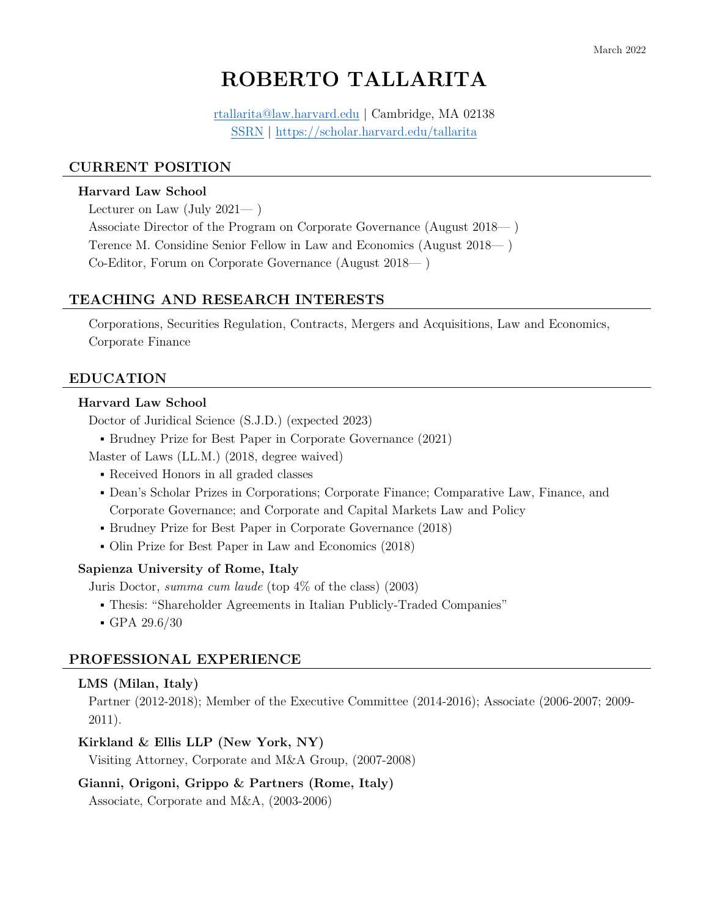# **ROBERTO TALLARITA**

[rtallarita@law.harvard.edu](mailto:rtallarita@law.harvard.edu) | Cambridge, MA 02138 [SSRN](https://papers.ssrn.com/sol3/cf_dev/AbsByAuth.cfm?per_id=1579906) | https://scholar.harvard.edu/tallarita

## **CURRENT POSITION**

#### **Harvard Law School**

Lecturer on Law (July 2021— )

Associate Director of the Program on Corporate Governance (August 2018— ) Terence M. Considine Senior Fellow in Law and Economics (August 2018— ) Co-Editor, Forum on Corporate Governance (August 2018— )

## **TEACHING AND RESEARCH INTERESTS**

Corporations, Securities Regulation, Contracts, Mergers and Acquisitions, Law and Economics, Corporate Finance

#### **EDUCATION**

## **Harvard Law School**

Doctor of Juridical Science (S.J.D.) (expected 2023)

- Brudney Prize for Best Paper in Corporate Governance (2021)
- Master of Laws (LL.M.) (2018, degree waived)
	- Received Honors in all graded classes
	- Dean's Scholar Prizes in Corporations; Corporate Finance; Comparative Law, Finance, and Corporate Governance; and Corporate and Capital Markets Law and Policy
	- Brudney Prize for Best Paper in Corporate Governance (2018)
	- Olin Prize for Best Paper in Law and Economics (2018)

#### **Sapienza University of Rome, Italy**

Juris Doctor, *summa cum laude* (top 4% of the class) (2003)

- Thesis: "Shareholder Agreements in Italian Publicly-Traded Companies"
- $-$  GPA 29.6/30

## **PROFESSIONAL EXPERIENCE**

#### **LMS (Milan, Italy)**

Partner (2012-2018); Member of the Executive Committee (2014-2016); Associate (2006-2007; 2009- 2011).

#### **Kirkland & Ellis LLP (New York, NY)**

Visiting Attorney, Corporate and M&A Group, (2007-2008)

## **Gianni, Origoni, Grippo & Partners (Rome, Italy)**

Associate, Corporate and M&A, (2003-2006)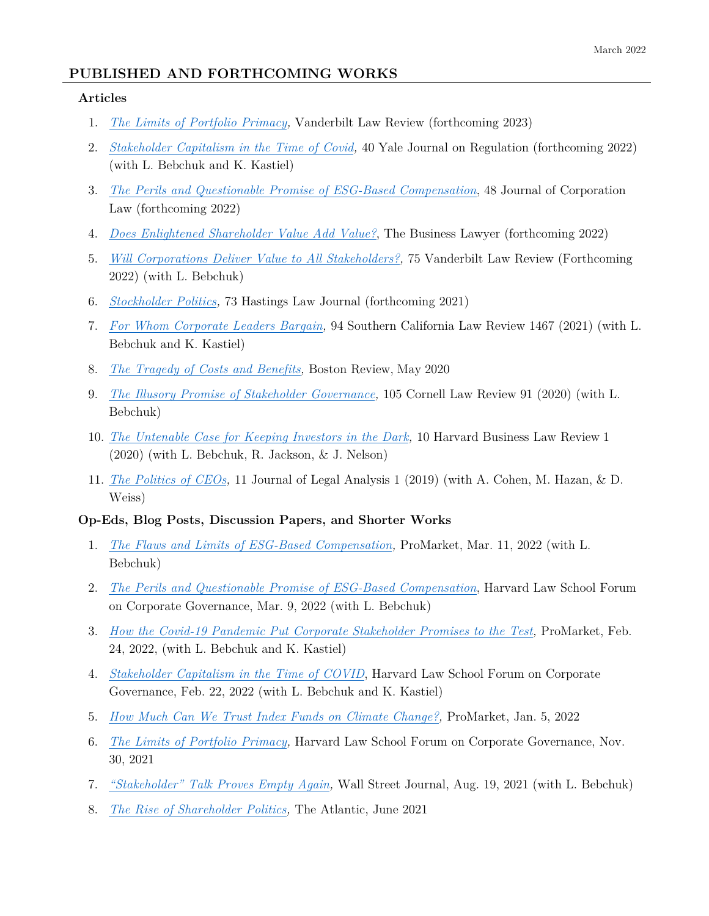# **PUBLISHED AND FORTHCOMING WORKS**

## **Articles**

- 1. *[The Limits of Portfolio Primacy,](https://papers.ssrn.com/sol3/papers.cfm?abstract_id=3912977)* Vanderbilt Law Review (forthcoming 2023)
- 2. *[Stakeholder Capitalism in the Time of Covid,](https://papers.ssrn.com/sol3/papers.cfm?abstract_id=4026803)* 40 Yale Journal on Regulation (forthcoming 2022) (with L. Bebchuk and K. Kastiel)
- 3. *[The Perils and Questionable Promise of ESG-Based Compensation](https://papers.ssrn.com/sol3/papers.cfm?abstract_id=4048003)*, 48 Journal of Corporation Law (forthcoming 2022)
- 4. *[Does Enlightened Shareholder Value Add Value?](https://papers.ssrn.com/sol3/papers.cfm?abstract_id=4065731)*, The Business Lawyer (forthcoming 2022)
- 5. *[Will Corporations Deliver Value to All Stakeholders?,](https://ssrn.com/abstract=3899421)* 75 Vanderbilt Law Review (Forthcoming 2022) (with L. Bebchuk)
- 6. *[Stockholder Politics,](https://ssrn.com/abstract=3798101)* 73 Hastings Law Journal (forthcoming 2021)
- 7. *[For Whom Corporate Leaders Bargain,](https://ssrn.com/abstract=3677155)* 94 Southern California Law Review 1467 (2021) (with L. Bebchuk and K. Kastiel)
- 8. *[The Tragedy of Costs and Benefits,](https://bostonreview.net/articles/roberto-tallarita-tragedy-costs-and-benefits/)* Boston Review, May 2020
- 9. *[The Illusory Promise of Stakeholder Governance,](https://ssrn.com/abstract=3544978)* 105 Cornell Law Review 91 (2020) (with L. Bebchuk)
- 10. *The Untenable Case for [Keeping Investors in the Dark,](https://ssrn.com/abstract=3281791)* 10 Harvard Business Law Review 1 (2020) (with L. Bebchuk, R. Jackson, & J. Nelson)
- 11. *[The Politics of CEOs,](https://ssrn.com/abstract=3355690)* 11 Journal of Legal Analysis 1 (2019) (with A. Cohen, M. Hazan, & D. Weiss)

## **Op-Eds, Blog Posts, Discussion Papers, and Shorter Works**

- 1. *[The Flaws and Limits of ESG-Based Compensation,](https://www.promarket.org/2022/03/11/esg-compensation-executives-flaws/)* ProMarket, Mar. 11, 2022 (with L. Bebchuk)
- 2. *[The Perils and Questionable Promise of ESG-Based Compensation](https://corpgov.law.harvard.edu/2022/03/09/the-perils-and-questionable-promise-of-esg-based-compensation/)*, Harvard Law School Forum on Corporate Governance, Mar. 9, 2022 (with L. Bebchuk)
- 3. *[How the Covid-19 Pandemic Put Corporate Stakeholder Promises to the Test,](https://www.promarket.org/2022/02/24/covid-pandemic-stakeholder-capitalism-corporate-promises/)* ProMarket, Feb. 24, 2022, (with L. Bebchuk and K. Kastiel)
- 4. *[Stakeholder Capitalism in the Time of COVID](https://corpgov.law.harvard.edu/2022/02/22/stakeholder-capitalism-in-the-time-of-covid/)*, Harvard Law School Forum on Corporate Governance, Feb. 22, 2022 (with L. Bebchuk and K. Kastiel)
- 5. *[How Much Can We Trust Index Funds on Climate Change?,](https://promarket.org/2022/01/05/index-funds-climate-change-portfolio-primacy-esg/)* ProMarket, Jan. 5, 2022
- 6. *[The Limits of Portfolio Primacy,](https://corpgov.law.harvard.edu/2021/11/30/the-limits-of-portfolio-primacy/)* Harvard Law School Forum on Corporate Governance, Nov. 30, 2021
- 7. *["Stakeholder" Talk Proves Empty Again,](https://www.wsj.com/articles/stakeholder-capitalism-esg-business-roundtable-diversity-and-inclusion-green-washing-11629313759)* Wall Street Journal, Aug. 19, 2021 (with L. Bebchuk)
- 8. *[The Rise of Shareholder Politics,](https://www.theatlantic.com/ideas/archive/2021/06/shareholder-politics/619111/)* The Atlantic, June 2021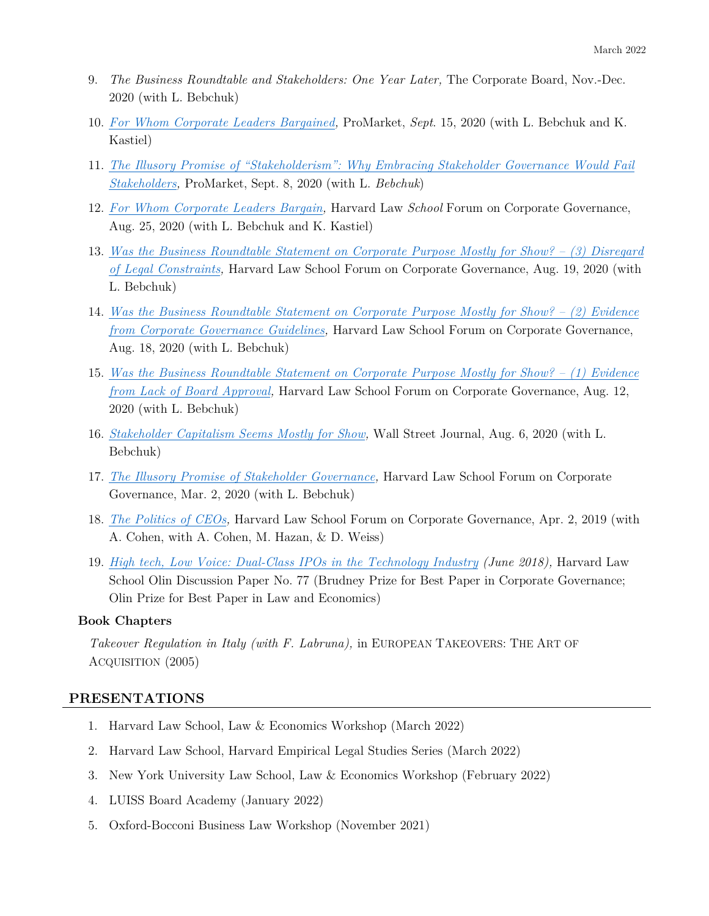- 9. *The Business Roundtable and Stakeholders: One Year Later,* The Corporate Board, Nov.-Dec. 2020 (with L. Bebchuk)
- 10. *[For Whom Corporate Leaders Bargained,](https://promarket.org/2020/09/15/for-whom-corporate-leaders-bargained-what-the-past-can-teach-us-about-the-questionable-promise-of-implementing-stakeholder-capitalism-today/)* ProMarket, *Sept*. 15, 2020 (with L. Bebchuk and K. Kastiel)
- 11. *[The Illusory Promise of "Stakeholderism": Why Embracing Stakeholder Governance Would Fail](https://promarket.org/2020/09/08/the-illusory-promise-of-stakeholderism-why-embracing-stakeholder-governance-would-fail-stakeholders/)  [Stakeholders,](https://promarket.org/2020/09/08/the-illusory-promise-of-stakeholderism-why-embracing-stakeholder-governance-would-fail-stakeholders/)* ProMarket, Sept. 8, 2020 (with L. *Bebchuk*)
- 12. *[For Whom Corporate Leaders Bargain,](https://corpgov.law.harvard.edu/2020/08/25/for-whom-corporate-leaders-bargain/)* Harvard Law *School* Forum on Corporate Governance, Aug. 25, 2020 (with L. Bebchuk and K. Kastiel)
- 13. *[Was the Business Roundtable Statement on Corporate Purpose Mostly for Show? \(3\) Disregard](https://corpgov.law.harvard.edu/2020/08/19/was-the-business-roundtable-statement-mostly-for-show-3-disregard-of-legal-constraints/)  [of Legal Constraints,](https://corpgov.law.harvard.edu/2020/08/19/was-the-business-roundtable-statement-mostly-for-show-3-disregard-of-legal-constraints/)* Harvard Law School Forum on Corporate Governance, Aug. 19, 2020 (with L. Bebchuk)
- 14. *[Was the Business Roundtable Statement on Corporate Purpose Mostly for Show? \(2\) Evidence](https://corpgov.law.harvard.edu/2020/08/18/was-the-business-roundtable-statement-mostly-for-show-2-evidence-from-corporate-governance-guidelines/)  [from Corporate Governance Guidelines,](https://corpgov.law.harvard.edu/2020/08/18/was-the-business-roundtable-statement-mostly-for-show-2-evidence-from-corporate-governance-guidelines/)* Harvard Law School Forum on Corporate Governance, Aug. 18, 2020 (with L. Bebchuk)
- 15. *[Was the Business Roundtable Statement on Corporate Purpose Mostly for Show? \(1\) Evidence](https://corpgov.law.harvard.edu/2020/08/12/was-the-business-roundtable-statement-on-corporate-purpose-mostly-for-show-1-evidence-from-lack-of-board-approval/)  from Lack of Board Approval*, Harvard Law School Forum on Corporate Governance, Aug. 12, 2020 (with L. Bebchuk)
- 16. *[Stakeholder Capitalism Seems Mostly for Show,](https://www.wsj.com/articles/stakeholder-capitalism-seems-mostly-for-show-11596755220)* Wall Street Journal, Aug. 6, 2020 (with L. Bebchuk)
- 17. *[The Illusory Promise of Stakeholder Governance,](https://corpgov.law.harvard.edu/2020/03/02/the-illusory-promise-of-stakeholder-governance/)* Harvard Law School Forum on Corporate Governance, Mar. 2, 2020 (with L. Bebchuk)
- 18. *[The Politics of CEOs,](https://corpgov.law.harvard.edu/2019/04/02/the-politics-of-ceos/)* Harvard Law School Forum on Corporate Governance, Apr. 2, 2019 (with A. Cohen, with A. Cohen, M. Hazan, & D. Weiss)
- 19. *[High tech, Low Voice: Dual-Class IPOs in the Technology Industry](http://www.law.harvard.edu/programs/olin_center/fellows_papers/77_Tallarita.php) (June 2018),* Harvard Law School Olin Discussion Paper No. 77 (Brudney Prize for Best Paper in Corporate Governance; Olin Prize for Best Paper in Law and Economics)

## **Book Chapters**

*Takeover Regulation in Italy (with F. Labruna),* in EUROPEAN TAKEOVERS: THE ART OF ACQUISITION (2005)

## **PRESENTATIONS**

- 1. Harvard Law School, Law & Economics Workshop (March 2022)
- 2. Harvard Law School, Harvard Empirical Legal Studies Series (March 2022)
- 3. New York University Law School, Law & Economics Workshop (February 2022)
- 4. LUISS Board Academy (January 2022)
- 5. Oxford-Bocconi Business Law Workshop (November 2021)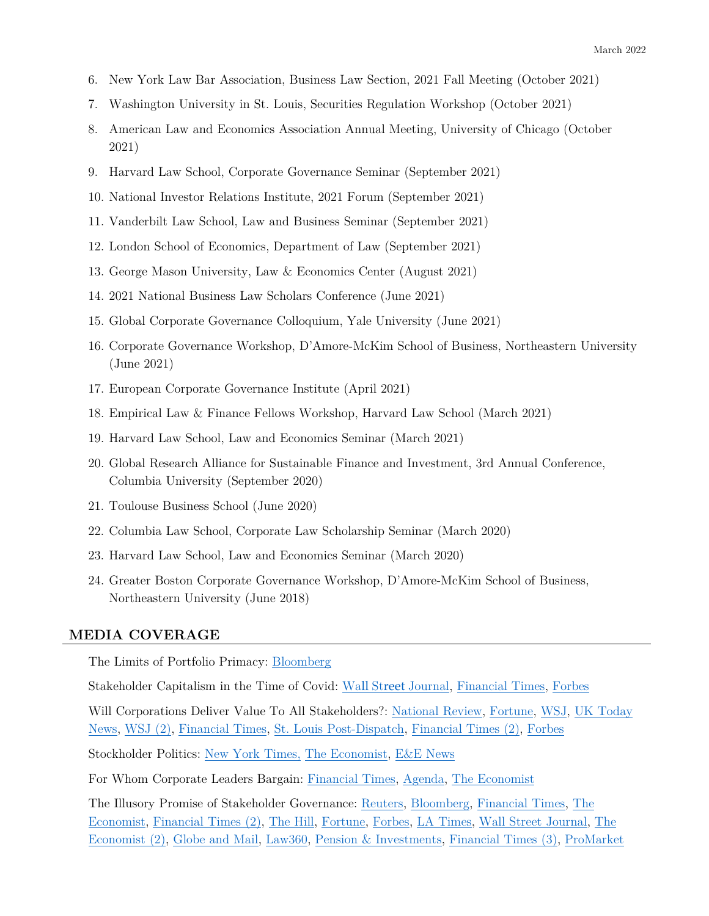- 6. New York Law Bar Association, Business Law Section, 2021 Fall Meeting (October 2021)
- 7. Washington University in St. Louis, Securities Regulation Workshop (October 2021)
- 8. American Law and Economics Association Annual Meeting, University of Chicago (October 2021)
- 9. Harvard Law School, Corporate Governance Seminar (September 2021)
- 10. National Investor Relations Institute, 2021 Forum (September 2021)
- 11. Vanderbilt Law School, Law and Business Seminar (September 2021)
- 12. London School of Economics, Department of Law (September 2021)
- 13. George Mason University, Law & Economics Center (August 2021)
- 14. 2021 National Business Law Scholars Conference (June 2021)
- 15. Global Corporate Governance Colloquium, Yale University (June 2021)
- 16. Corporate Governance Workshop, D'Amore-McKim School of Business, Northeastern University (June 2021)
- 17. European Corporate Governance Institute (April 2021)
- 18. Empirical Law & Finance Fellows Workshop, Harvard Law School (March 2021)
- 19. Harvard Law School, Law and Economics Seminar (March 2021)
- 20. Global Research Alliance for Sustainable Finance and Investment, 3rd Annual Conference, Columbia University (September 2020)
- 21. Toulouse Business School (June 2020)
- 22. Columbia Law School, Corporate Law Scholarship Seminar (March 2020)
- 23. Harvard Law School, Law and Economics Seminar (March 2020)
- 24. Greater Boston Corporate Governance Workshop, D'Amore-McKim School of Business, Northeastern University (June 2018)

## **MEDIA COVERAGE**

The Limits of Portfolio Primacy: [Bloomberg](https://www.bloomberg.com/opinion/articles/2021-09-20/investment-banking-is-cheap-if-you-re-rich)

Stakeholder Capitalism in the Time of Covid: Wall Street [Journal,](https://www.wsj.com/articles/shareholders-reign-supreme-despite-ceo-promises-to-society-11644496644?mod=newsviewer_click) [Financial Times,](https://www.ft.com/content/242a3df5-072b-4d5d-be4c-cd968daca835) [Forbes](https://www.forbes.com/sites/bobeccles/2022/02/25/is-stakeholder-capitalism-real-or-not-the-natural-experiment-of-covid-19/?sh=1e3317249956) 

Will Corporations Deliver Value To All Stakeholders?: [National Review,](https://www.nationalreview.com/corner/woke-capitalism-an-update/?itm_source=parsely-api?utm_source=recirc-desktop&utm_medium=blog&utm_campaign=right-rail&utm_content=recommended&utm_term=first) [Fortune,](https://fortune.com/2021/08/18/ceo-daily-two-years-business-roundtable/) [WSJ,](https://www.wsj.com/articles/stakeholder-shareholder-business-roundtable-environment-capitalism-11629690204) [UK Today](https://todayuknews.com/market/is-esg-a-bottom-line-risk/)  [News,](https://todayuknews.com/market/is-esg-a-bottom-line-risk/) [WSJ \(2\),](https://www.wsj.com/articles/the-regulators-are-coming-after-sustainable-investing-11629994233?mod=markets_lead_pos6) [Financial Times,](https://www.ft.com/content/2e77a83b-bf88-4efb-8294-31db74db03c5?accessToken=zwAAAXt5UHhQkc8ud6g7v4hO-9OClDHbdNsDxQ.MEUCIQCCvdwcYJN4EZHxasNnhEYgMMIhv9rd30GkJ9_sD9W0LgIgH1evGDdY6FtYEOTLNdTy7Jt29S57mhnWBBxwuAqrU6A&sharetype=gift?token=8365138b-16f3-415c-bc4e-77845d51c5cf) [St. Louis Post-Dispatch,](https://www.stltoday.com/business/columns/david-nicklaus/nicklaus-pledge-on-corporate-values-turns-out-to-be-mere-pr/article_ed58b2bf-4119-5a89-8af2-294be1a12c4a.html) [Financial Times \(2\),](https://www.ft.com/content/2e77a83b-bf88-4efb-8294-31db74db03c5?accessToken=zwAAAXt5UHhQkc8ud6g7v4hO-9OClDHbdNsDxQ.MEUCIQCCvdwcYJN4EZHxasNnhEYgMMIhv9rd30GkJ9_sD9W0LgIgH1evGDdY6FtYEOTLNdTy7Jt29S57mhnWBBxwuAqrU6A&sharetype=gift?token=8365138b-16f3-415c-bc4e-77845d51c5cf) [Forbes](https://www.forbes.com/sites/stevedenning/2021/11/26/why-top-management-must-change-fundamental-assumptions/?sh=48195c35291e)

Stockholder Politics: [New York Times,](https://www.nytimes.com/2021/03/10/business/dealbook/lina-khan-antitrust.html) [The Economist,](https://www.economist.com/business/2021/04/14/ceo-activism-in-america-is-risky-business) [E&E News](https://www.eenews.net/stories/1063732567)

For Whom Corporate Leaders Bargain: [Financial Times,](https://www.ft.com/content/1047a7ba-6160-449b-ba65-eab6be5e9f8c) [Agenda,](https://pcg.law.harvard.edu/wp-content/uploads/2020/09/2020_09-04_Agenda.pdf) [The Economist](https://www.economist.com/business/2020/09/19/what-is-stakeholder-capitalism)

The Illusory Promise of Stakeholder Governance: [Reuters,](https://www.reuters.com/article/us-otc-stakeholder/harvard-prof-stakeholder-corporate-paradigm-is-just-pr-and-bad-for-everyone-idUSKBN20R39V) [Bloomberg,](https://www.bloomberg.com/opinion/articles/2020-03-03/robinhood-picked-a-bad-day-to-break) [Financial Times,](https://www.ft.com/content/daa3ba7a-5f3d-11ea-b0ab-339c2307bcd4) [The](https://www.economist.com/BUSINESS/2020/03/12/ACADEMICS-MAKE-AN-EMPIRICAL-CASE-AGAIN-STAKEHOLDERISM)  [Economist,](https://www.economist.com/BUSINESS/2020/03/12/ACADEMICS-MAKE-AN-EMPIRICAL-CASE-AGAIN-STAKEHOLDERISM) [Financial Times \(2\),](https://www.ft.com/CONTENT/C082635C-5FD4-11EA-8033-FA40A0D65A98) [The Hill,](https://thehill.com/opinion/energy-environment/495673-blackrocks-choice-investment-fiduciary-or-political-activist) [Fortune,](https://fortune.com/2020/08/19/business-roundtable-statement-principles-stakeholder-capitalism-corporate-governance/) [Forbes,](https://www.forbes.com/sites/stevedenning/2020/08/30/picturing-what-good-agile-looks-like/#52168ad24e89) [LA Times,](https://www.latimes.com/business/story/2020-08-19/big-business-shareholder-value-scam) [Wall Street Journal,](https://www.wsj.com/articles/whats-new-about-stakeholder-capitalism-11597431777) [The](https://www.economist.com/business/2020/09/19/what-is-stakeholder-capitalism)  [Economist \(2\),](https://www.economist.com/business/2020/09/19/what-is-stakeholder-capitalism) [Globe and Mail,](https://www.theglobeandmail.com/business/careers/management/article-more-companies-are-committing-themselves-to-social-change-is-it-all/) [Law360,](https://www.law360.com/publicpolicy/articles/1324785/stakeholder-capitalism-needs-gov-t-oversight-to-work-) [Pension & Investments,](https://www.pionline.com/real-estate/social-issues-take-center-stage-conferences) [Financial Times \(3\),](https://www.ft.com/content/fa2ab84f-fa69-476c-b26f-d65528f89ab1) [ProMarket](https://promarket.org/2020/09/08/the-illusory-promise-of-stakeholderism-why-embracing-stakeholder-governance-would-fail-stakeholders/)